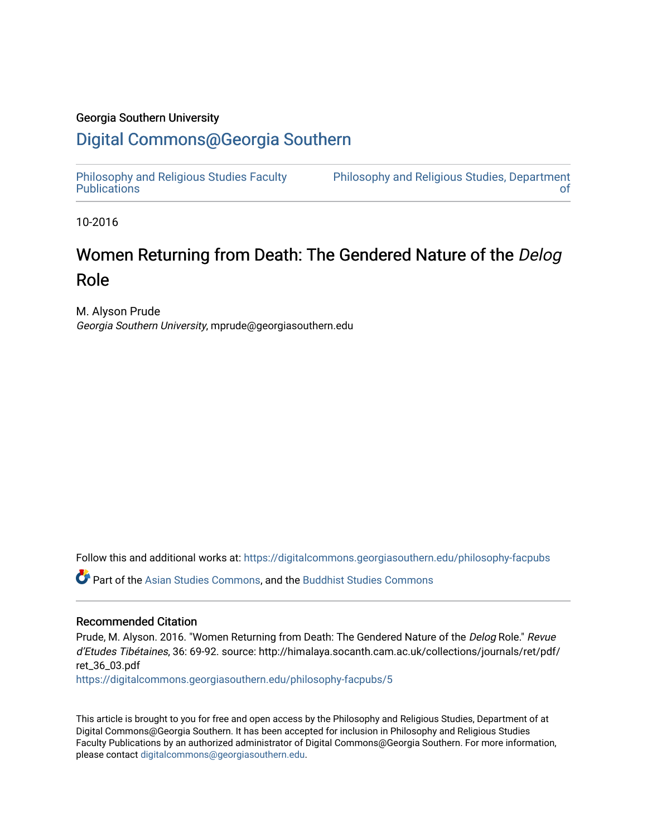## Georgia Southern University

## [Digital Commons@Georgia Southern](https://digitalcommons.georgiasouthern.edu/)

[Philosophy and Religious Studies Faculty](https://digitalcommons.georgiasouthern.edu/philosophy-facpubs)  **Publications** 

[Philosophy and Religious Studies, Department](https://digitalcommons.georgiasouthern.edu/philosophy)  [of](https://digitalcommons.georgiasouthern.edu/philosophy) 

10-2016

# Women Returning from Death: The Gendered Nature of the Delog Role

M. Alyson Prude Georgia Southern University, mprude@georgiasouthern.edu

Follow this and additional works at: [https://digitalcommons.georgiasouthern.edu/philosophy-facpubs](https://digitalcommons.georgiasouthern.edu/philosophy-facpubs?utm_source=digitalcommons.georgiasouthern.edu%2Fphilosophy-facpubs%2F5&utm_medium=PDF&utm_campaign=PDFCoverPages) 

Part of the [Asian Studies Commons,](https://network.bepress.com/hgg/discipline/361?utm_source=digitalcommons.georgiasouthern.edu%2Fphilosophy-facpubs%2F5&utm_medium=PDF&utm_campaign=PDFCoverPages) and the [Buddhist Studies Commons](https://network.bepress.com/hgg/discipline/1344?utm_source=digitalcommons.georgiasouthern.edu%2Fphilosophy-facpubs%2F5&utm_medium=PDF&utm_campaign=PDFCoverPages)

#### Recommended Citation

Prude, M. Alyson. 2016. "Women Returning from Death: The Gendered Nature of the Delog Role." Revue d'Etudes Tibétaines, 36: 69-92. source: http://himalaya.socanth.cam.ac.uk/collections/journals/ret/pdf/ ret\_36\_03.pdf [https://digitalcommons.georgiasouthern.edu/philosophy-facpubs/5](https://digitalcommons.georgiasouthern.edu/philosophy-facpubs/5?utm_source=digitalcommons.georgiasouthern.edu%2Fphilosophy-facpubs%2F5&utm_medium=PDF&utm_campaign=PDFCoverPages) 

This article is brought to you for free and open access by the Philosophy and Religious Studies, Department of at Digital Commons@Georgia Southern. It has been accepted for inclusion in Philosophy and Religious Studies Faculty Publications by an authorized administrator of Digital Commons@Georgia Southern. For more information, please contact [digitalcommons@georgiasouthern.edu.](mailto:digitalcommons@georgiasouthern.edu)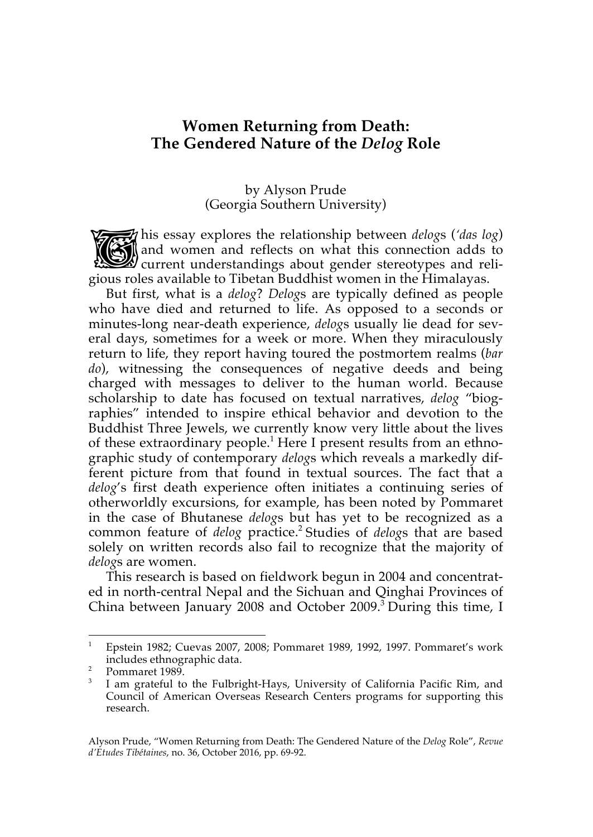## **Women Returning from Death: The Gendered Nature of the** *Delog* **Role**

#### by Alyson Prude (Georgia Southern University)

his essay explores the relationship between *delog*s (*'das log*) and women and reflects on what this connection adds to **Current understandings about gender stereotypes and reli**gious roles available to Tibetan Buddhist women in the Himalayas. TS

But first, what is a *delog*? *Delog*s are typically defined as people who have died and returned to life. As opposed to a seconds or minutes-long near-death experience, *delog*s usually lie dead for several days, sometimes for a week or more. When they miraculously return to life, they report having toured the postmortem realms (*bar do*), witnessing the consequences of negative deeds and being charged with messages to deliver to the human world. Because scholarship to date has focused on textual narratives, *delog* "biographies" intended to inspire ethical behavior and devotion to the Buddhist Three Jewels, we currently know very little about the lives of these extraordinary people. <sup>1</sup> Here I present results from an ethnographic study of contemporary *delog*s which reveals a markedly different picture from that found in textual sources. The fact that a *delog*'s first death experience often initiates a continuing series of otherworldly excursions, for example, has been noted by Pommaret in the case of Bhutanese *delog*s but has yet to be recognized as a common feature of *delog* practice.<sup>2</sup> Studies of *delogs* that are based solely on written records also fail to recognize that the majority of *delog*s are women.

This research is based on fieldwork begun in 2004 and concentrated in north-central Nepal and the Sichuan and Qinghai Provinces of China between January 2008 and October 2009.3 During this time, I

<sup>1</sup> Epstein 1982; Cuevas 2007, 2008; Pommaret 1989, 1992, 1997. Pommaret's work includes ethnographic data.

 $\frac{2}{3}$  Pommaret 1989.

I am grateful to the Fulbright-Hays, University of California Pacific Rim, and Council of American Overseas Research Centers programs for supporting this research.

Alyson Prude, "Women Returning from Death: The Gendered Nature of the *Delog* Role", *Revue d'Etudes Tibétaines*, no. 36, October 2016, pp. 69-92.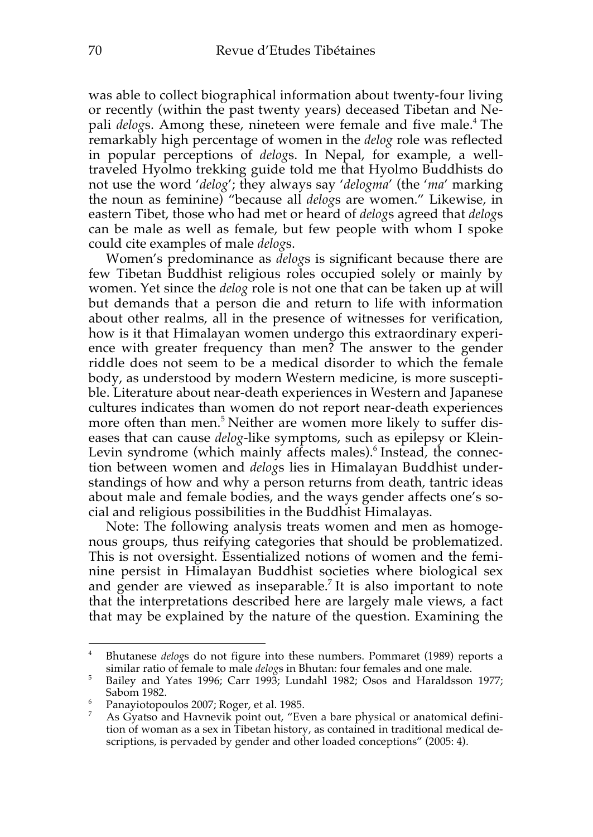was able to collect biographical information about twenty-four living or recently (within the past twenty years) deceased Tibetan and Nepali *delog*s. Among these, nineteen were female and five male.4 The remarkably high percentage of women in the *delog* role was reflected in popular perceptions of *delog*s. In Nepal, for example, a welltraveled Hyolmo trekking guide told me that Hyolmo Buddhists do not use the word '*delog*'; they always say '*delogma*' (the '*ma*' marking the noun as feminine) "because all *delog*s are women." Likewise, in eastern Tibet, those who had met or heard of *delog*s agreed that *delog*s can be male as well as female, but few people with whom I spoke could cite examples of male *delog*s.

Women's predominance as *delog*s is significant because there are few Tibetan Buddhist religious roles occupied solely or mainly by women. Yet since the *delog* role is not one that can be taken up at will but demands that a person die and return to life with information about other realms, all in the presence of witnesses for verification, how is it that Himalayan women undergo this extraordinary experience with greater frequency than men? The answer to the gender riddle does not seem to be a medical disorder to which the female body, as understood by modern Western medicine, is more susceptible. Literature about near-death experiences in Western and Japanese cultures indicates than women do not report near-death experiences more often than men. <sup>5</sup> Neither are women more likely to suffer diseases that can cause *delog*-like symptoms, such as epilepsy or Klein-Levin syndrome (which mainly affects males). <sup>6</sup> Instead, the connection between women and *delog*s lies in Himalayan Buddhist understandings of how and why a person returns from death, tantric ideas about male and female bodies, and the ways gender affects one's social and religious possibilities in the Buddhist Himalayas.

Note: The following analysis treats women and men as homogenous groups, thus reifying categories that should be problematized. This is not oversight. Essentialized notions of women and the feminine persist in Himalayan Buddhist societies where biological sex and gender are viewed as inseparable. <sup>7</sup> It is also important to note that the interpretations described here are largely male views, a fact that may be explained by the nature of the question. Examining the

<sup>4</sup> Bhutanese *delog*s do not figure into these numbers. Pommaret (1989) reports a similar ratio of female to male *delog*s in Bhutan: four females and one male.

<sup>&</sup>lt;sup>5</sup> Bailey and Yates 1996; Carr 1993; Lundahl 1982; Osos and Haraldsson 1977; Sabom 1982.

<sup>6</sup> Panayiotopoulos 2007; Roger, et al. 1985.

 $7$  As Gyatso and Havnevik point out, "Even a bare physical or anatomical definition of woman as a sex in Tibetan history, as contained in traditional medical descriptions, is pervaded by gender and other loaded conceptions" (2005: 4).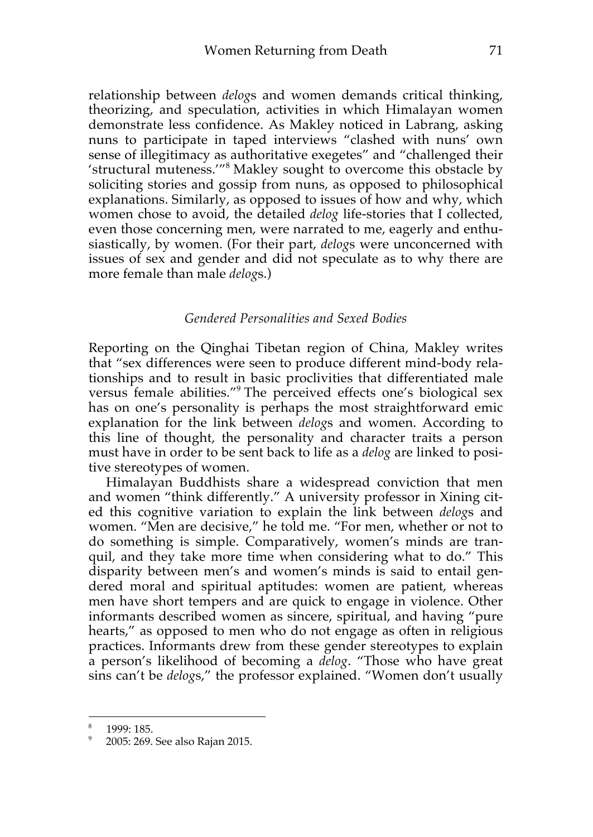relationship between *delog*s and women demands critical thinking, theorizing, and speculation, activities in which Himalayan women demonstrate less confidence. As Makley noticed in Labrang, asking nuns to participate in taped interviews "clashed with nuns' own sense of illegitimacy as authoritative exegetes" and "challenged their 'structural muteness.'"8 Makley sought to overcome this obstacle by soliciting stories and gossip from nuns, as opposed to philosophical explanations. Similarly, as opposed to issues of how and why, which women chose to avoid, the detailed *delog* life-stories that I collected, even those concerning men, were narrated to me, eagerly and enthusiastically, by women. (For their part, *delog*s were unconcerned with issues of sex and gender and did not speculate as to why there are more female than male *delog*s.)

#### *Gendered Personalities and Sexed Bodies*

Reporting on the Qinghai Tibetan region of China, Makley writes that "sex differences were seen to produce different mind-body relationships and to result in basic proclivities that differentiated male versus female abilities."<sup>9</sup> The perceived effects one's biological sex has on one's personality is perhaps the most straightforward emic explanation for the link between *delog*s and women. According to this line of thought, the personality and character traits a person must have in order to be sent back to life as a *delog* are linked to positive stereotypes of women.

Himalayan Buddhists share a widespread conviction that men and women "think differently." A university professor in Xining cited this cognitive variation to explain the link between *delog*s and women. "Men are decisive," he told me. "For men, whether or not to do something is simple. Comparatively, women's minds are tranquil, and they take more time when considering what to do." This disparity between men's and women's minds is said to entail gendered moral and spiritual aptitudes: women are patient, whereas men have short tempers and are quick to engage in violence. Other informants described women as sincere, spiritual, and having "pure hearts," as opposed to men who do not engage as often in religious practices. Informants drew from these gender stereotypes to explain a person's likelihood of becoming a *delog*. "Those who have great sins can't be *delog*s," the professor explained. "Women don't usually

<sup>1999: 185.</sup> 

<sup>9</sup> 2005: 269. See also Rajan 2015.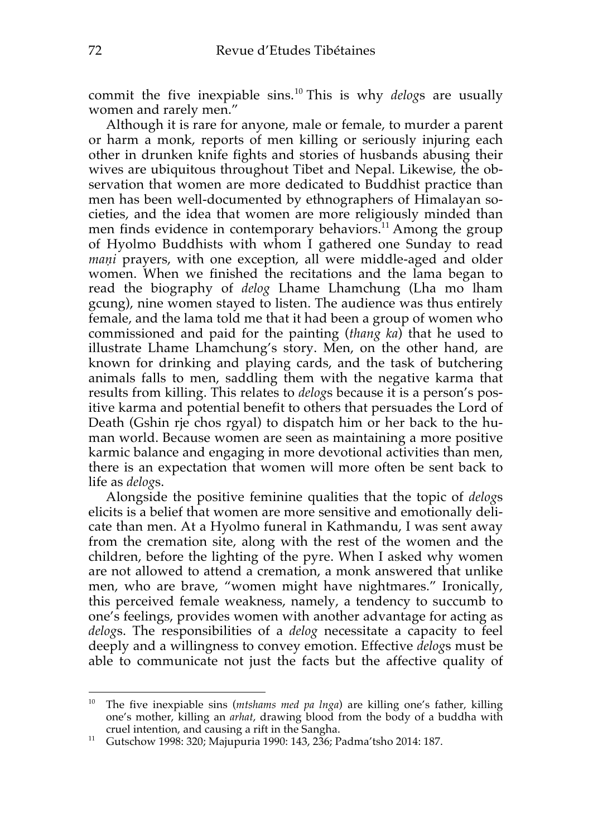commit the five inexpiable sins.<sup>10</sup> This is why *delog*s are usually women and rarely men."

Although it is rare for anyone, male or female, to murder a parent or harm a monk, reports of men killing or seriously injuring each other in drunken knife fights and stories of husbands abusing their wives are ubiquitous throughout Tibet and Nepal. Likewise, the observation that women are more dedicated to Buddhist practice than men has been well-documented by ethnographers of Himalayan societies, and the idea that women are more religiously minded than men finds evidence in contemporary behaviors.<sup>11</sup> Among the group of Hyolmo Buddhists with whom I gathered one Sunday to read *maṇi* prayers, with one exception, all were middle-aged and older women. When we finished the recitations and the lama began to read the biography of *delog* Lhame Lhamchung (Lha mo lham gcung), nine women stayed to listen. The audience was thus entirely female, and the lama told me that it had been a group of women who commissioned and paid for the painting (*thang ka*) that he used to illustrate Lhame Lhamchung's story. Men, on the other hand, are known for drinking and playing cards, and the task of butchering animals falls to men, saddling them with the negative karma that results from killing. This relates to *delog*s because it is a person's positive karma and potential benefit to others that persuades the Lord of Death (Gshin rje chos rgyal) to dispatch him or her back to the human world. Because women are seen as maintaining a more positive karmic balance and engaging in more devotional activities than men, there is an expectation that women will more often be sent back to life as *delog*s.

Alongside the positive feminine qualities that the topic of *delog*s elicits is a belief that women are more sensitive and emotionally delicate than men. At a Hyolmo funeral in Kathmandu, I was sent away from the cremation site, along with the rest of the women and the children, before the lighting of the pyre. When I asked why women are not allowed to attend a cremation, a monk answered that unlike men, who are brave, "women might have nightmares." Ironically, this perceived female weakness, namely, a tendency to succumb to one's feelings, provides women with another advantage for acting as *delog*s. The responsibilities of a *delog* necessitate a capacity to feel deeply and a willingness to convey emotion. Effective *delog*s must be able to communicate not just the facts but the affective quality of

 $\overline{a}$ <sup>10</sup> The five inexpiable sins (*mtshams med pa lnga*) are killing one's father, killing one's mother, killing an *arhat*, drawing blood from the body of a buddha with cruel intention, and causing a rift in the Sangha.

<sup>11</sup> Gutschow 1998: 320; Majupuria 1990: 143, 236; Padma'tsho 2014: 187.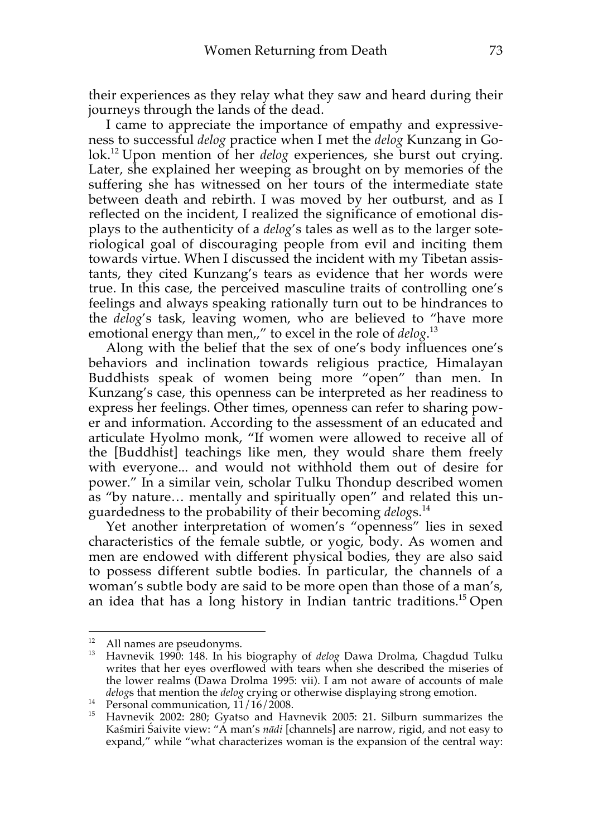their experiences as they relay what they saw and heard during their journeys through the lands of the dead.

I came to appreciate the importance of empathy and expressiveness to successful *delog* practice when I met the *delog* Kunzang in Golok. <sup>12</sup> Upon mention of her *delog* experiences, she burst out crying. Later, she explained her weeping as brought on by memories of the suffering she has witnessed on her tours of the intermediate state between death and rebirth. I was moved by her outburst, and as I reflected on the incident, I realized the significance of emotional displays to the authenticity of a *delog*'s tales as well as to the larger soteriological goal of discouraging people from evil and inciting them towards virtue. When I discussed the incident with my Tibetan assistants, they cited Kunzang's tears as evidence that her words were true. In this case, the perceived masculine traits of controlling one's feelings and always speaking rationally turn out to be hindrances to the *delog*'s task, leaving women, who are believed to "have more emotional energy than men,," to excel in the role of *delog*. 13

Along with the belief that the sex of one's body influences one's behaviors and inclination towards religious practice, Himalayan Buddhists speak of women being more "open" than men. In Kunzang's case, this openness can be interpreted as her readiness to express her feelings. Other times, openness can refer to sharing power and information. According to the assessment of an educated and articulate Hyolmo monk, "If women were allowed to receive all of the [Buddhist] teachings like men, they would share them freely with everyone... and would not withhold them out of desire for power." In a similar vein, scholar Tulku Thondup described women as "by nature… mentally and spiritually open" and related this unguardedness to the probability of their becoming *delog*s. 14

Yet another interpretation of women's "openness" lies in sexed characteristics of the female subtle, or yogic, body. As women and men are endowed with different physical bodies, they are also said to possess different subtle bodies. In particular, the channels of a woman's subtle body are said to be more open than those of a man's, an idea that has a long history in Indian tantric traditions. <sup>15</sup> Open

<sup>&</sup>lt;sup>12</sup> All names are pseudonyms.

<sup>&</sup>lt;sup>13</sup> Havnevik 1990: 148. In his biography of *delog* Dawa Drolma, Chagdud Tulku writes that her eyes overflowed with tears when she described the miseries of the lower realms (Dawa Drolma 1995: vii). I am not aware of accounts of male *delog*s that mention the *delog* crying or otherwise displaying strong emotion.

<sup>&</sup>lt;sup>14</sup> Personal communication,  $11/16/2008$ .

<sup>&</sup>lt;sup>15</sup> Havnevik 2002: 280; Gyatso and Havnevik 2005: 21. Silburn summarizes the Kaśmiri Śaivite view: "A man's *nādi* [channels] are narrow, rigid, and not easy to expand," while "what characterizes woman is the expansion of the central way: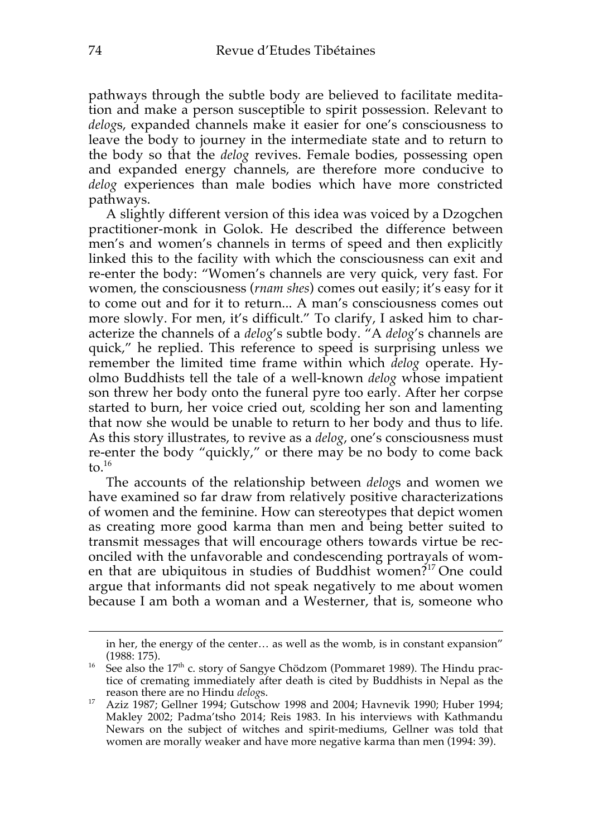pathways through the subtle body are believed to facilitate meditation and make a person susceptible to spirit possession. Relevant to *delog*s, expanded channels make it easier for one's consciousness to leave the body to journey in the intermediate state and to return to the body so that the *delog* revives. Female bodies, possessing open and expanded energy channels, are therefore more conducive to *delog* experiences than male bodies which have more constricted pathways.

A slightly different version of this idea was voiced by a Dzogchen practitioner-monk in Golok. He described the difference between men's and women's channels in terms of speed and then explicitly linked this to the facility with which the consciousness can exit and re-enter the body: "Women's channels are very quick, very fast. For women, the consciousness (*rnam shes*) comes out easily; it's easy for it to come out and for it to return... A man's consciousness comes out more slowly. For men, it's difficult." To clarify, I asked him to characterize the channels of a *delog*'s subtle body. "A *delog*'s channels are quick," he replied. This reference to speed is surprising unless we remember the limited time frame within which *delog* operate. Hyolmo Buddhists tell the tale of a well-known *delog* whose impatient son threw her body onto the funeral pyre too early. After her corpse started to burn, her voice cried out, scolding her son and lamenting that now she would be unable to return to her body and thus to life. As this story illustrates, to revive as a *delog*, one's consciousness must re-enter the body "quickly," or there may be no body to come back to. $16$ 

The accounts of the relationship between *delog*s and women we have examined so far draw from relatively positive characterizations of women and the feminine. How can stereotypes that depict women as creating more good karma than men and being better suited to transmit messages that will encourage others towards virtue be reconciled with the unfavorable and condescending portrayals of women that are ubiquitous in studies of Buddhist women?<sup>17</sup> One could argue that informants did not speak negatively to me about women because I am both a woman and a Westerner, that is, someone who

in her, the energy of the center… as well as the womb, is in constant expansion" (1988: 175).

<sup>&</sup>lt;sup>16</sup> See also the 17<sup>th</sup> c. story of Sangye Chödzom (Pommaret 1989). The Hindu practice of cremating immediately after death is cited by Buddhists in Nepal as the reason there are no Hindu *delog*s.

<sup>17</sup> Aziz 1987; Gellner 1994; Gutschow 1998 and 2004; Havnevik 1990; Huber 1994;<br><sup>17</sup> Aziz 1987; Gellner 1994; Gutschow 1998 and 2004; Havnevik 1990; Huber 1994; Makley 2002; Padma'tsho 2014; Reis 1983. In his interviews with Kathmandu Newars on the subject of witches and spirit-mediums, Gellner was told that women are morally weaker and have more negative karma than men (1994: 39).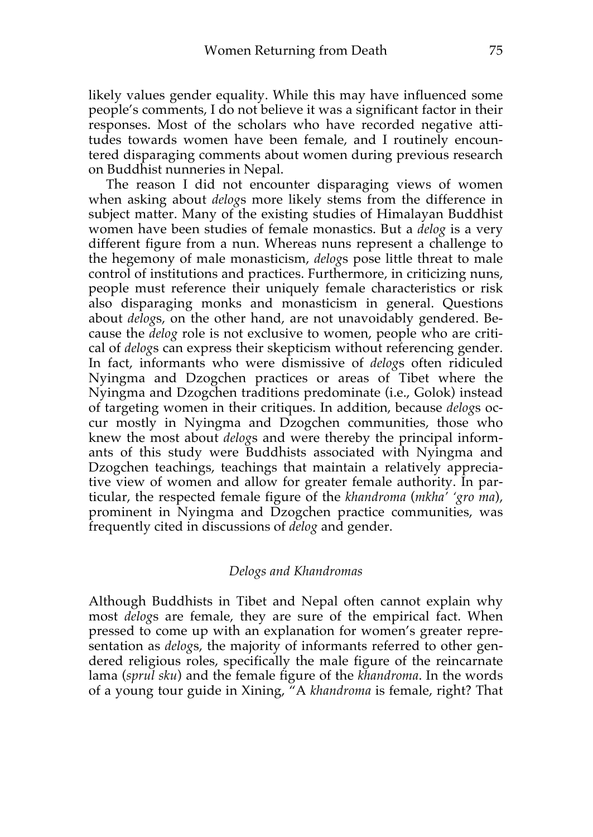likely values gender equality. While this may have influenced some people's comments, I do not believe it was a significant factor in their responses. Most of the scholars who have recorded negative attitudes towards women have been female, and I routinely encountered disparaging comments about women during previous research on Buddhist nunneries in Nepal.

The reason I did not encounter disparaging views of women when asking about *delog*s more likely stems from the difference in subject matter. Many of the existing studies of Himalayan Buddhist women have been studies of female monastics. But a *delog* is a very different figure from a nun. Whereas nuns represent a challenge to the hegemony of male monasticism, *delog*s pose little threat to male control of institutions and practices. Furthermore, in criticizing nuns, people must reference their uniquely female characteristics or risk also disparaging monks and monasticism in general. Questions about *delog*s, on the other hand, are not unavoidably gendered. Because the *delog* role is not exclusive to women, people who are critical of *delog*s can express their skepticism without referencing gender. In fact, informants who were dismissive of *delog*s often ridiculed Nyingma and Dzogchen practices or areas of Tibet where the Nyingma and Dzogchen traditions predominate (i.e., Golok) instead of targeting women in their critiques. In addition, because *delog*s occur mostly in Nyingma and Dzogchen communities, those who knew the most about *delog*s and were thereby the principal informants of this study were Buddhists associated with Nyingma and Dzogchen teachings, teachings that maintain a relatively appreciative view of women and allow for greater female authority. In particular, the respected female figure of the *khandroma* (*mkha' 'gro ma*), prominent in Nyingma and Dzogchen practice communities, was frequently cited in discussions of *delog* and gender.

#### *Delogs and Khandromas*

Although Buddhists in Tibet and Nepal often cannot explain why most *delog*s are female, they are sure of the empirical fact. When pressed to come up with an explanation for women's greater representation as *delog*s, the majority of informants referred to other gendered religious roles, specifically the male figure of the reincarnate lama (*sprul sku*) and the female figure of the *khandroma*. In the words of a young tour guide in Xining, "A *khandroma* is female, right? That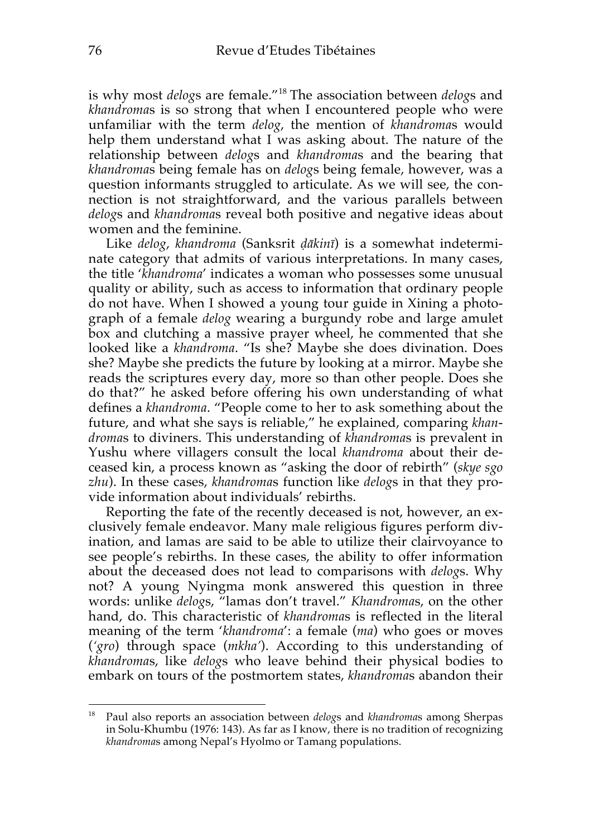is why most *delog*s are female."<sup>18</sup> The association between *delog*s and *khandroma*s is so strong that when I encountered people who were unfamiliar with the term *delog*, the mention of *khandroma*s would help them understand what I was asking about. The nature of the relationship between *delog*s and *khandroma*s and the bearing that *khandroma*s being female has on *delog*s being female, however, was a question informants struggled to articulate. As we will see, the connection is not straightforward, and the various parallels between *delog*s and *khandroma*s reveal both positive and negative ideas about women and the feminine.

Like *delog*, *khandroma* (Sanksrit *ḍākinī*) is a somewhat indeterminate category that admits of various interpretations. In many cases, the title '*khandroma*' indicates a woman who possesses some unusual quality or ability, such as access to information that ordinary people do not have. When I showed a young tour guide in Xining a photograph of a female *delog* wearing a burgundy robe and large amulet box and clutching a massive prayer wheel, he commented that she looked like a *khandroma*. "Is she? Maybe she does divination. Does she? Maybe she predicts the future by looking at a mirror. Maybe she reads the scriptures every day, more so than other people. Does she do that?" he asked before offering his own understanding of what defines a *khandroma*. "People come to her to ask something about the future, and what she says is reliable," he explained, comparing *khandroma*s to diviners. This understanding of *khandroma*s is prevalent in Yushu where villagers consult the local *khandroma* about their deceased kin, a process known as "asking the door of rebirth" (*skye sgo zhu*). In these cases, *khandroma*s function like *delog*s in that they provide information about individuals' rebirths.

Reporting the fate of the recently deceased is not, however, an exclusively female endeavor. Many male religious figures perform divination, and lamas are said to be able to utilize their clairvoyance to see people's rebirths. In these cases, the ability to offer information about the deceased does not lead to comparisons with *delog*s. Why not? A young Nyingma monk answered this question in three words: unlike *delog*s, "lamas don't travel." *Khandroma*s, on the other hand, do. This characteristic of *khandroma*s is reflected in the literal meaning of the term '*khandroma*': a female (*ma*) who goes or moves (*'gro*) through space (*mkha'*). According to this understanding of *khandroma*s, like *delog*s who leave behind their physical bodies to embark on tours of the postmortem states, *khandroma*s abandon their

<sup>18</sup> Paul also reports an association between *delog*s and *khandroma*s among Sherpas in Solu-Khumbu (1976: 143). As far as I know, there is no tradition of recognizing *khandroma*s among Nepal's Hyolmo or Tamang populations.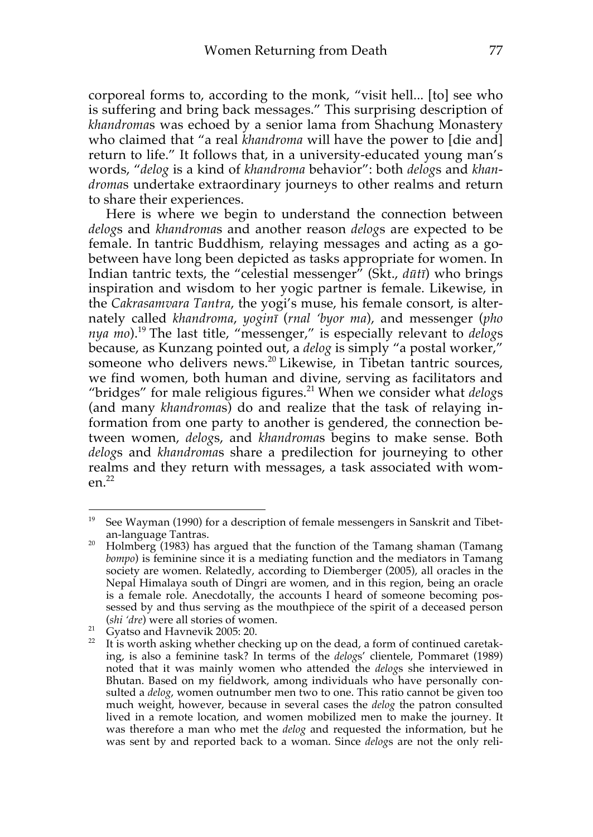corporeal forms to, according to the monk, "visit hell... [to] see who is suffering and bring back messages." This surprising description of *khandroma*s was echoed by a senior lama from Shachung Monastery who claimed that "a real *khandroma* will have the power to [die and] return to life." It follows that, in a university-educated young man's words, "*delog* is a kind of *khandroma* behavior": both *delog*s and *khandroma*s undertake extraordinary journeys to other realms and return to share their experiences.

Here is where we begin to understand the connection between *delog*s and *khandroma*s and another reason *delog*s are expected to be female. In tantric Buddhism, relaying messages and acting as a gobetween have long been depicted as tasks appropriate for women. In Indian tantric texts, the "celestial messenger" (Skt., *dūtī*) who brings inspiration and wisdom to her yogic partner is female. Likewise, in the *Cakrasamvara Tantra*, the yogi's muse, his female consort, is alternately called *khandroma*, *yoginī* (*rnal 'byor ma*), and messenger (*pho nya mo*).19 The last title, "messenger," is especially relevant to *delog*s because, as Kunzang pointed out, a *delog* is simply "a postal worker," someone who delivers news.<sup>20</sup> Likewise, in Tibetan tantric sources, we find women, both human and divine, serving as facilitators and "bridges" for male religious figures.<sup>21</sup> When we consider what *delogs* (and many *khandroma*s) do and realize that the task of relaying information from one party to another is gendered, the connection between women, *delog*s, and *khandroma*s begins to make sense. Both *delog*s and *khandroma*s share a predilection for journeying to other realms and they return with messages, a task associated with wom $en<sup>22</sup>$ 

<sup>19</sup> <sup>19</sup> See Wayman (1990) for a description of female messengers in Sanskrit and Tibetan-language Tantras.

<sup>&</sup>lt;sup>20</sup> Holmberg (1983) has argued that the function of the Tamang shaman (Tamang Holmberg (1983) has argued that the function of the Tamang *bompo*) is feminine since it is a mediating function and the mediators in Tamang society are women. Relatedly, according to Diemberger (2005), all oracles in the Nepal Himalaya south of Dingri are women, and in this region, being an oracle is a female role. Anecdotally, the accounts I heard of someone becoming possessed by and thus serving as the mouthpiece of the spirit of a deceased person (*shi 'dre*) were all stories of women. 21 Gyatso and Havnevik 2005: 20.

 $22$  It is worth asking whether checking up on the dead, a form of continued caretaking, is also a feminine task? In terms of the *delog*s' clientele, Pommaret (1989) noted that it was mainly women who attended the *delog*s she interviewed in Bhutan. Based on my fieldwork, among individuals who have personally consulted a *delog*, women outnumber men two to one. This ratio cannot be given too much weight, however, because in several cases the *delog* the patron consulted lived in a remote location, and women mobilized men to make the journey. It was therefore a man who met the *delog* and requested the information, but he was sent by and reported back to a woman. Since *delog*s are not the only reli-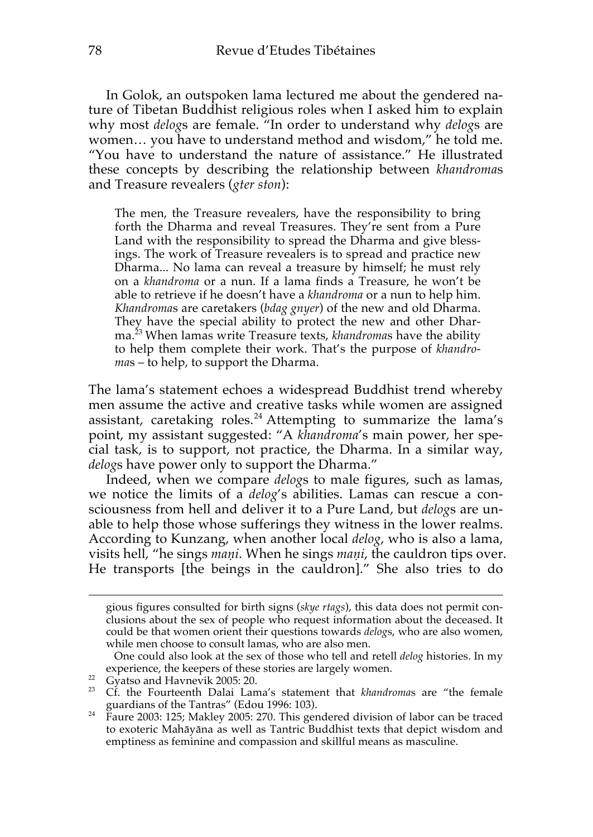In Golok, an outspoken lama lectured me about the gendered nature of Tibetan Buddhist religious roles when I asked him to explain why most *delog*s are female. "In order to understand why *delog*s are women… you have to understand method and wisdom," he told me. "You have to understand the nature of assistance." He illustrated these concepts by describing the relationship between *khandroma*s and Treasure revealers (*gter ston*):

The men, the Treasure revealers, have the responsibility to bring forth the Dharma and reveal Treasures. They're sent from a Pure Land with the responsibility to spread the Dharma and give blessings. The work of Treasure revealers is to spread and practice new Dharma... No lama can reveal a treasure by himself; he must rely on a *khandroma* or a nun. If a lama finds a Treasure, he won't be able to retrieve if he doesn't have a *khandroma* or a nun to help him. *Khandroma*s are caretakers (*bdag gnyer*) of the new and old Dharma. They have the special ability to protect the new and other Dharma.<sup>23</sup> When lamas write Treasure texts, *khandroma*s have the ability to help them complete their work. That's the purpose of *khandroma*s – to help, to support the Dharma.

The lama's statement echoes a widespread Buddhist trend whereby men assume the active and creative tasks while women are assigned assistant, caretaking roles. <sup>24</sup> Attempting to summarize the lama's point, my assistant suggested: "A *khandroma*'s main power, her special task, is to support, not practice, the Dharma. In a similar way, *delog*s have power only to support the Dharma."

Indeed, when we compare *delog*s to male figures, such as lamas, we notice the limits of a *delog*'s abilities. Lamas can rescue a consciousness from hell and deliver it to a Pure Land, but *delog*s are unable to help those whose sufferings they witness in the lower realms. According to Kunzang, when another local *delog*, who is also a lama, visits hell, "he sings *maṇi*. When he sings *maṇi*, the cauldron tips over. He transports [the beings in the cauldron]." She also tries to do

gious figures consulted for birth signs (*skye rtags*), this data does not permit conclusions about the sex of people who request information about the deceased. It could be that women orient their questions towards *delog*s, who are also women, while men choose to consult lamas, who are also men.

One could also look at the sex of those who tell and retell *delog* histories. In my experience, the keepers of these stories are largely women. 22 Gyatso and Havnevik 2005: 20.

<sup>&</sup>lt;sup>23</sup> Cf. the Fourteenth Dalai Lama's statement that *khandromas* are "the female guardians of the Tantras" (Edou 1996: 103).

guardians of the Tanuas (Euron 1990, 1999).<br><sup>24</sup> Faure 2003: 125; Makley 2005: 270. This gendered division of labor can be traced to exoteric Mahāyāna as well as Tantric Buddhist texts that depict wisdom and emptiness as feminine and compassion and skillful means as masculine.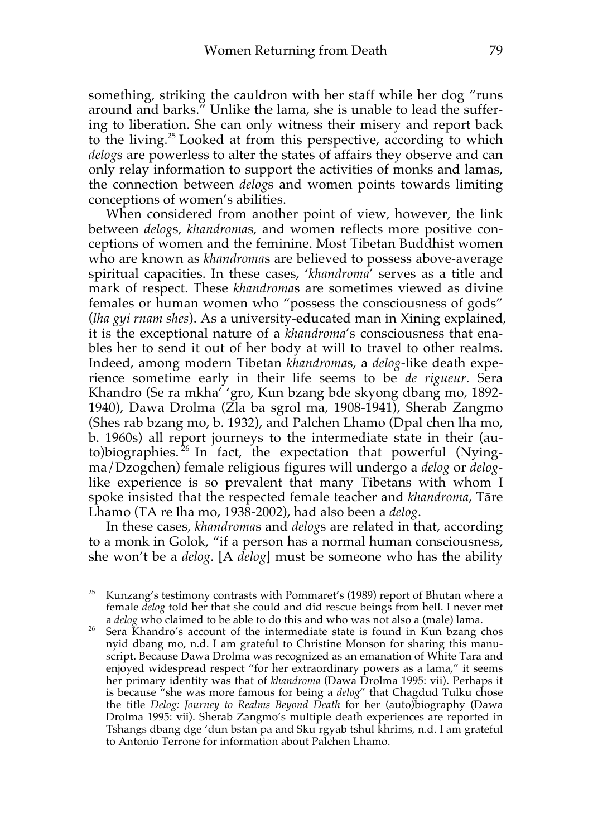something, striking the cauldron with her staff while her dog "runs around and barks." Unlike the lama, she is unable to lead the suffering to liberation. She can only witness their misery and report back to the living.<sup>25</sup> Looked at from this perspective, according to which *delog*s are powerless to alter the states of affairs they observe and can only relay information to support the activities of monks and lamas, the connection between *delog*s and women points towards limiting conceptions of women's abilities.

When considered from another point of view, however, the link between *delog*s, *khandroma*s, and women reflects more positive conceptions of women and the feminine. Most Tibetan Buddhist women who are known as *khandroma*s are believed to possess above-average spiritual capacities. In these cases, '*khandroma*' serves as a title and mark of respect. These *khandroma*s are sometimes viewed as divine females or human women who "possess the consciousness of gods" (*lha gyi rnam shes*). As a university-educated man in Xining explained, it is the exceptional nature of a *khandroma*'s consciousness that enables her to send it out of her body at will to travel to other realms. Indeed, among modern Tibetan *khandroma*s, a *delog*-like death experience sometime early in their life seems to be *de rigueur*. Sera Khandro (Se ra mkha' 'gro, Kun bzang bde skyong dbang mo, 1892- 1940), Dawa Drolma (Zla ba sgrol ma, 1908-1941), Sherab Zangmo (Shes rab bzang mo, b. 1932), and Palchen Lhamo (Dpal chen lha mo, b. 1960s) all report journeys to the intermediate state in their (auto)biographies.<sup>26</sup> In fact, the expectation that powerful (Nyingma/Dzogchen) female religious figures will undergo a *delog* or *delog*like experience is so prevalent that many Tibetans with whom I spoke insisted that the respected female teacher and *khandroma*, Tāre Lhamo (TA re lha mo, 1938-2002), had also been a *delog*.

In these cases, *khandroma*s and *delog*s are related in that, according to a monk in Golok, "if a person has a normal human consciousness, she won't be a *delog*. [A *delog*] must be someone who has the ability

<sup>&</sup>lt;sup>25</sup> Kunzang's testimony contrasts with Pommaret's (1989) report of Bhutan where a female *delog* told her that she could and did rescue beings from hell. I never met a *delog* who claimed to be able to do this and who was not also a (male) lama.

<sup>&</sup>lt;sup>26</sup> Sera Khandro's account of the intermediate state is found in Kun bzang chos nyid dbang mo, n.d. I am grateful to Christine Monson for sharing this manuscript. Because Dawa Drolma was recognized as an emanation of White Tara and enjoyed widespread respect "for her extraordinary powers as a lama," it seems her primary identity was that of *khandroma* (Dawa Drolma 1995: vii). Perhaps it is because "she was more famous for being a *delog*" that Chagdud Tulku chose the title *Delog: Journey to Realms Beyond Death* for her (auto)biography (Dawa Drolma 1995: vii). Sherab Zangmo's multiple death experiences are reported in Tshangs dbang dge 'dun bstan pa and Sku rgyab tshul khrims, n.d. I am grateful to Antonio Terrone for information about Palchen Lhamo.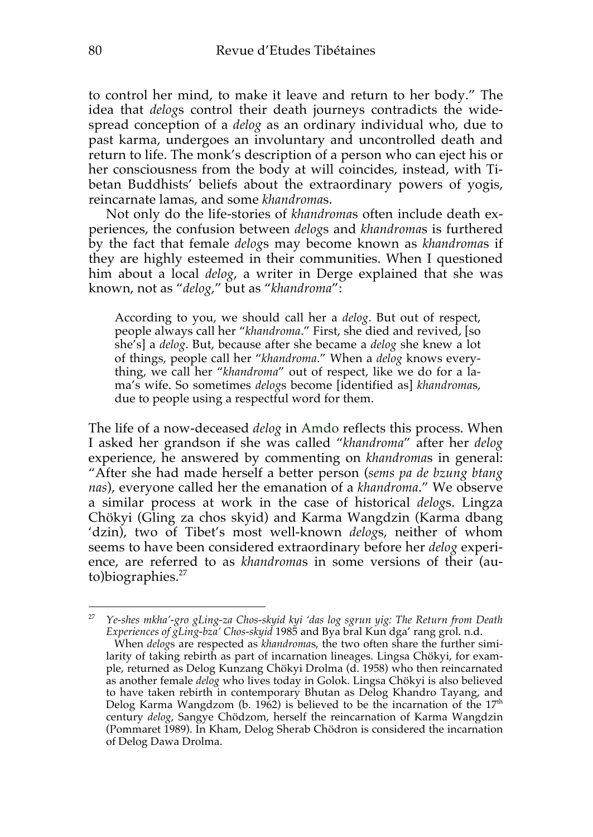to control her mind, to make it leave and return to her body." The idea that *delog*s control their death journeys contradicts the widespread conception of a *delog* as an ordinary individual who, due to past karma, undergoes an involuntary and uncontrolled death and return to life. The monk's description of a person who can eject his or her consciousness from the body at will coincides, instead, with Tibetan Buddhists' beliefs about the extraordinary powers of yogis, reincarnate lamas, and some *khandroma*s.

Not only do the life-stories of *khandroma*s often include death experiences, the confusion between *delog*s and *khandroma*s is furthered by the fact that female *delog*s may become known as *khandroma*s if they are highly esteemed in their communities. When I questioned him about a local *delog*, a writer in Derge explained that she was known, not as "*delog*," but as "*khandroma*":

According to you, we should call her a *delog*. But out of respect, people always call her "*khandroma*." First, she died and revived, [so she's] a *delog*. But, because after she became a *delog* she knew a lot of things, people call her "*khandroma*." When a *delog* knows everything, we call her "*khandroma*" out of respect, like we do for a lama's wife. So sometimes *delog*s become [identified as] *khandroma*s, due to people using a respectful word for them.

The life of a now-deceased *delog* in Amdo reflects this process. When I asked her grandson if she was called "*khandroma*" after her *delog* experience, he answered by commenting on *khandroma*s in general: "After she had made herself a better person (*sems pa de bzung btang nas*), everyone called her the emanation of a *khandroma*." We observe a similar process at work in the case of historical *delog*s. Lingza Chökyi (Gling za chos skyid) and Karma Wangdzin (Karma dbang 'dzin), two of Tibet's most well-known *delog*s, neither of whom seems to have been considered extraordinary before her *delog* experience, are referred to as *khandroma*s in some versions of their (au $to)$ biographies.<sup>27</sup>

 $\overline{a}$ <sup>27</sup> *Ye-shes mkha'-gro gLing-za Chos-skyid kyi 'das log sgrun yig: The Return from Death Experiences of gLing-bza' Chos-skyid* 1985 and Bya bral Kun dga' rang grol. n.d.

When *delog*s are respected as *khandroma*s, the two often share the further similarity of taking rebirth as part of incarnation lineages. Lingsa Chökyi, for example, returned as Delog Kunzang Chökyi Drolma (d. 1958) who then reincarnated as another female *delog* who lives today in Golok. Lingsa Chökyi is also believed to have taken rebirth in contemporary Bhutan as Delog Khandro Tayang, and Delog Karma Wangdzom (b. 1962) is believed to be the incarnation of the  $17<sup>th</sup>$ century *delog*, Sangye Chödzom, herself the reincarnation of Karma Wangdzin (Pommaret 1989). In Kham, Delog Sherab Chödron is considered the incarnation of Delog Dawa Drolma.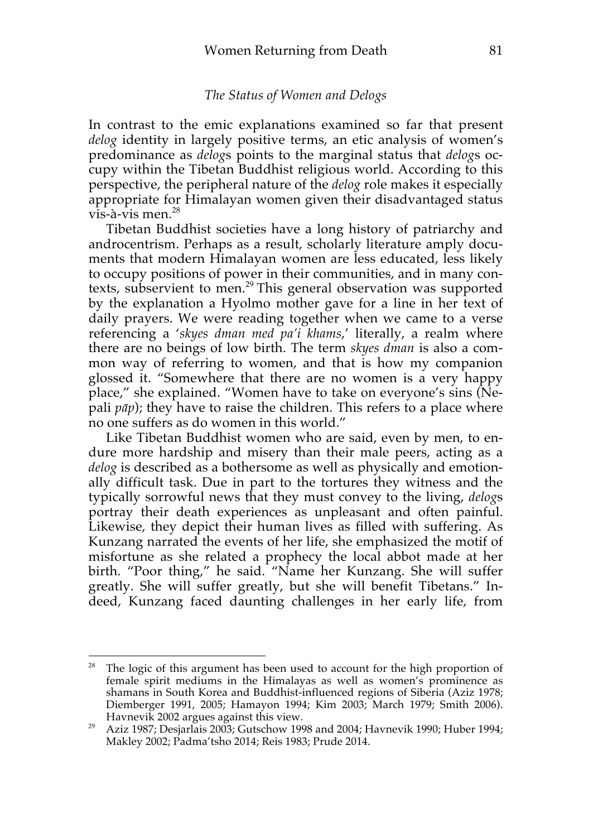#### *The Status of Women and Delogs*

In contrast to the emic explanations examined so far that present *delog* identity in largely positive terms, an etic analysis of women's predominance as *delog*s points to the marginal status that *delog*s occupy within the Tibetan Buddhist religious world. According to this perspective, the peripheral nature of the *delog* role makes it especially appropriate for Himalayan women given their disadvantaged status  $v$ is-à-vis men.<sup>28</sup>

Tibetan Buddhist societies have a long history of patriarchy and androcentrism. Perhaps as a result, scholarly literature amply documents that modern Himalayan women are less educated, less likely to occupy positions of power in their communities, and in many contexts, subservient to men.<sup>29</sup> This general observation was supported by the explanation a Hyolmo mother gave for a line in her text of daily prayers. We were reading together when we came to a verse referencing a '*skyes dman med pa'i khams*,' literally, a realm where there are no beings of low birth. The term *skyes dman* is also a common way of referring to women, and that is how my companion glossed it. "Somewhere that there are no women is a very happy place," she explained. "Women have to take on everyone's sins (Nepali *pāp*); they have to raise the children. This refers to a place where no one suffers as do women in this world."

Like Tibetan Buddhist women who are said, even by men, to endure more hardship and misery than their male peers, acting as a *delog* is described as a bothersome as well as physically and emotionally difficult task. Due in part to the tortures they witness and the typically sorrowful news that they must convey to the living, *delog*s portray their death experiences as unpleasant and often painful. Likewise, they depict their human lives as filled with suffering. As Kunzang narrated the events of her life, she emphasized the motif of misfortune as she related a prophecy the local abbot made at her birth. "Poor thing," he said. "Name her Kunzang. She will suffer greatly. She will suffer greatly, but she will benefit Tibetans." Indeed, Kunzang faced daunting challenges in her early life, from

<sup>&</sup>lt;sup>28</sup> The logic of this argument has been used to account for the high proportion of female spirit mediums in the Himalayas as well as women's prominence as shamans in South Korea and Buddhist-influenced regions of Siberia (Aziz 1978; Diemberger 1991, 2005; Hamayon 1994; Kim 2003; March 1979; Smith 2006).

Havnevik 2002 argues against this view. 29 Aziz 1987; Desjarlais 2003; Gutschow 1998 and 2004; Havnevik 1990; Huber 1994; Makley 2002; Padma'tsho 2014; Reis 1983; Prude 2014.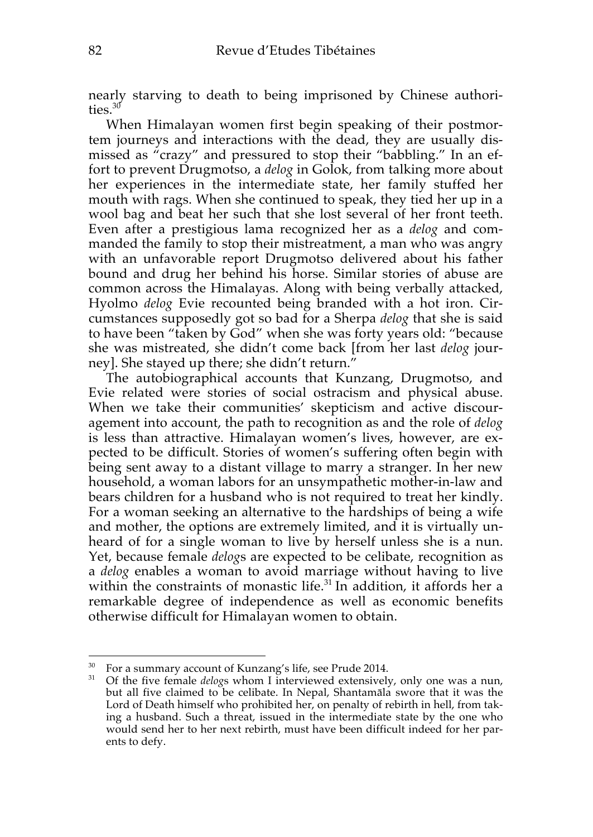nearly starving to death to being imprisoned by Chinese authorities.<sup>30</sup>

When Himalayan women first begin speaking of their postmortem journeys and interactions with the dead, they are usually dismissed as "crazy" and pressured to stop their "babbling." In an effort to prevent Drugmotso, a *delog* in Golok, from talking more about her experiences in the intermediate state, her family stuffed her mouth with rags. When she continued to speak, they tied her up in a wool bag and beat her such that she lost several of her front teeth. Even after a prestigious lama recognized her as a *delog* and commanded the family to stop their mistreatment, a man who was angry with an unfavorable report Drugmotso delivered about his father bound and drug her behind his horse. Similar stories of abuse are common across the Himalayas. Along with being verbally attacked, Hyolmo *delog* Evie recounted being branded with a hot iron. Circumstances supposedly got so bad for a Sherpa *delog* that she is said to have been "taken by God" when she was forty years old: "because she was mistreated, she didn't come back [from her last *delog* journey]. She stayed up there; she didn't return."

The autobiographical accounts that Kunzang, Drugmotso, and Evie related were stories of social ostracism and physical abuse. When we take their communities' skepticism and active discouragement into account, the path to recognition as and the role of *delog* is less than attractive. Himalayan women's lives, however, are expected to be difficult. Stories of women's suffering often begin with being sent away to a distant village to marry a stranger. In her new household, a woman labors for an unsympathetic mother-in-law and bears children for a husband who is not required to treat her kindly. For a woman seeking an alternative to the hardships of being a wife and mother, the options are extremely limited, and it is virtually unheard of for a single woman to live by herself unless she is a nun. Yet, because female *delog*s are expected to be celibate, recognition as a *delog* enables a woman to avoid marriage without having to live within the constraints of monastic life.<sup>31</sup> In addition, it affords her a remarkable degree of independence as well as economic benefits otherwise difficult for Himalayan women to obtain.

 $\overline{a}$ For a summary account of Kunzang's life, see Prude 2014.

<sup>&</sup>lt;sup>31</sup> Of the five female *delogs* whom I interviewed extensively, only one was a nun, but all five claimed to be celibate. In Nepal, Shantamāla swore that it was the Lord of Death himself who prohibited her, on penalty of rebirth in hell, from taking a husband. Such a threat, issued in the intermediate state by the one who would send her to her next rebirth, must have been difficult indeed for her parents to defy.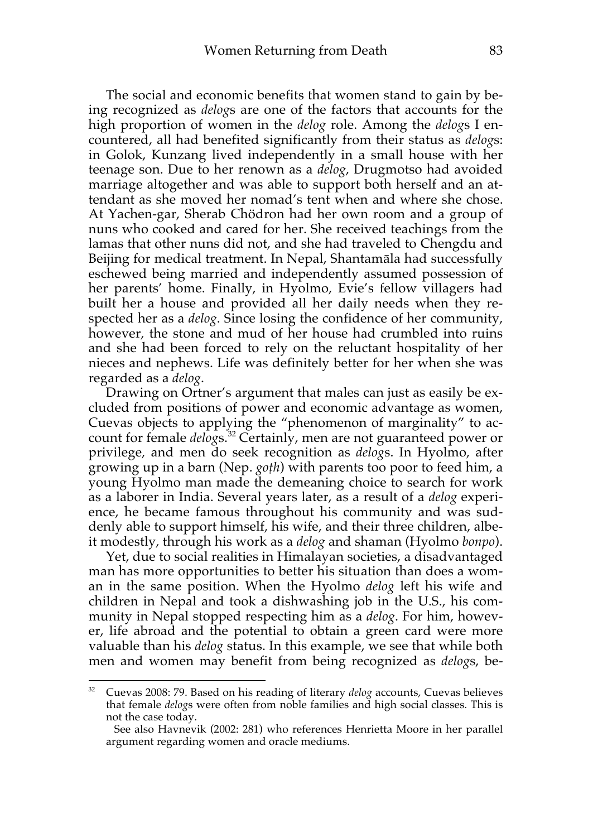The social and economic benefits that women stand to gain by being recognized as *delog*s are one of the factors that accounts for the high proportion of women in the *delog* role. Among the *delog*s I encountered, all had benefited significantly from their status as *delog*s: in Golok, Kunzang lived independently in a small house with her teenage son. Due to her renown as a *delog*, Drugmotso had avoided marriage altogether and was able to support both herself and an attendant as she moved her nomad's tent when and where she chose. At Yachen-gar, Sherab Chödron had her own room and a group of nuns who cooked and cared for her. She received teachings from the lamas that other nuns did not, and she had traveled to Chengdu and Beijing for medical treatment. In Nepal, Shantamāla had successfully eschewed being married and independently assumed possession of her parents' home. Finally, in Hyolmo, Evie's fellow villagers had built her a house and provided all her daily needs when they respected her as a *delog*. Since losing the confidence of her community, however, the stone and mud of her house had crumbled into ruins and she had been forced to rely on the reluctant hospitality of her nieces and nephews. Life was definitely better for her when she was regarded as a *delog*.

Drawing on Ortner's argument that males can just as easily be excluded from positions of power and economic advantage as women, Cuevas objects to applying the "phenomenon of marginality" to account for female *delog*s. <sup>32</sup> Certainly, men are not guaranteed power or privilege, and men do seek recognition as *delog*s. In Hyolmo, after growing up in a barn (Nep. *goṭh*) with parents too poor to feed him, a young Hyolmo man made the demeaning choice to search for work as a laborer in India. Several years later, as a result of a *delog* experience, he became famous throughout his community and was suddenly able to support himself, his wife, and their three children, albeit modestly, through his work as a *delog* and shaman (Hyolmo *bonpo*).

Yet, due to social realities in Himalayan societies, a disadvantaged man has more opportunities to better his situation than does a woman in the same position. When the Hyolmo *delog* left his wife and children in Nepal and took a dishwashing job in the U.S., his community in Nepal stopped respecting him as a *delog*. For him, however, life abroad and the potential to obtain a green card were more valuable than his *delog* status. In this example, we see that while both men and women may benefit from being recognized as *delog*s, be-

<sup>32</sup> Cuevas 2008: 79. Based on his reading of literary *delog* accounts, Cuevas believes that female *delog*s were often from noble families and high social classes. This is not the case today.

See also Havnevik (2002: 281) who references Henrietta Moore in her parallel argument regarding women and oracle mediums.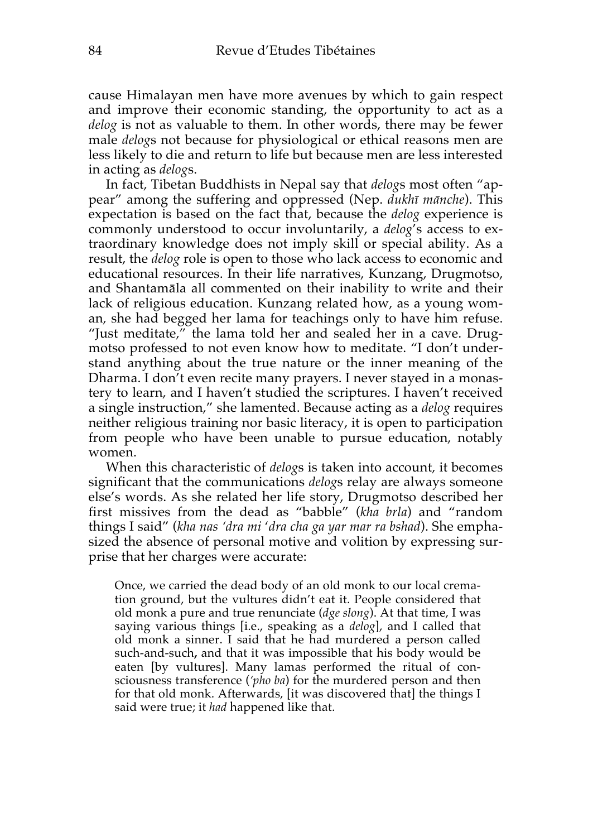cause Himalayan men have more avenues by which to gain respect and improve their economic standing, the opportunity to act as a *delog* is not as valuable to them. In other words, there may be fewer male *delog*s not because for physiological or ethical reasons men are less likely to die and return to life but because men are less interested in acting as *delog*s.

In fact, Tibetan Buddhists in Nepal say that *delog*s most often "appear" among the suffering and oppressed (Nep. *dukhī mānche*). This expectation is based on the fact that, because the *delog* experience is commonly understood to occur involuntarily, a *delog*'s access to extraordinary knowledge does not imply skill or special ability. As a result, the *delog* role is open to those who lack access to economic and educational resources. In their life narratives, Kunzang, Drugmotso, and Shantamāla all commented on their inability to write and their lack of religious education. Kunzang related how, as a young woman, she had begged her lama for teachings only to have him refuse. "Just meditate," the lama told her and sealed her in a cave. Drugmotso professed to not even know how to meditate. "I don't understand anything about the true nature or the inner meaning of the Dharma. I don't even recite many prayers. I never stayed in a monastery to learn, and I haven't studied the scriptures. I haven't received a single instruction," she lamented. Because acting as a *delog* requires neither religious training nor basic literacy, it is open to participation from people who have been unable to pursue education, notably women.

When this characteristic of *delog*s is taken into account, it becomes significant that the communications *delog*s relay are always someone else's words. As she related her life story, Drugmotso described her first missives from the dead as "babble" (*kha brla*) and "random things I said" (*kha nas 'dra mi* '*dra cha ga yar mar ra bshad*). She emphasized the absence of personal motive and volition by expressing surprise that her charges were accurate:

Once, we carried the dead body of an old monk to our local cremation ground, but the vultures didn't eat it. People considered that old monk a pure and true renunciate (*dge slong*). At that time, I was saying various things [i.e., speaking as a *delog*], and I called that old monk a sinner. I said that he had murdered a person called such-and-such**,** and that it was impossible that his body would be eaten [by vultures]. Many lamas performed the ritual of consciousness transference (*'pho ba*) for the murdered person and then for that old monk. Afterwards, [it was discovered that] the things I said were true; it *had* happened like that.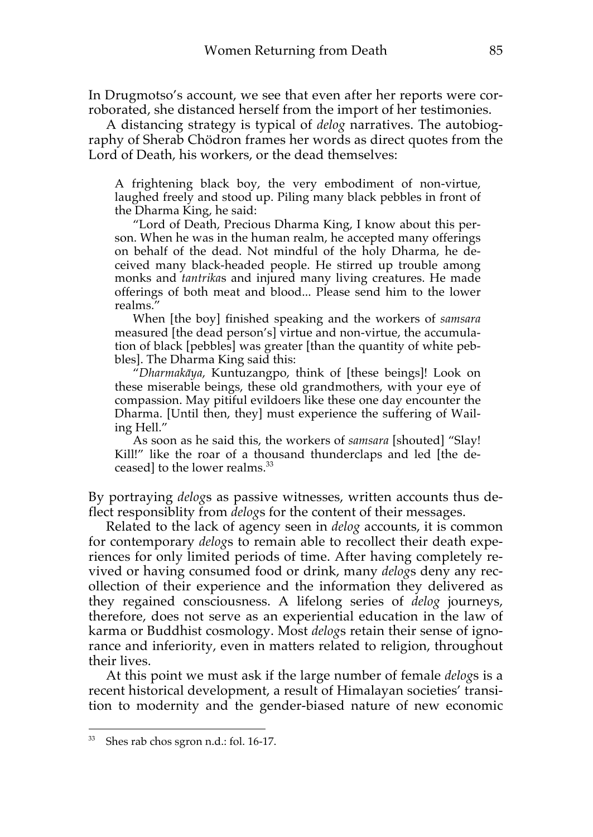In Drugmotso's account, we see that even after her reports were corroborated, she distanced herself from the import of her testimonies.

A distancing strategy is typical of *delog* narratives. The autobiography of Sherab Chödron frames her words as direct quotes from the Lord of Death, his workers, or the dead themselves:

A frightening black boy, the very embodiment of non-virtue, laughed freely and stood up. Piling many black pebbles in front of the Dharma King, he said:

"Lord of Death, Precious Dharma King, I know about this person. When he was in the human realm, he accepted many offerings on behalf of the dead. Not mindful of the holy Dharma, he deceived many black-headed people. He stirred up trouble among monks and *tantrika*s and injured many living creatures. He made offerings of both meat and blood... Please send him to the lower realms."

When [the boy] finished speaking and the workers of *samsara* measured [the dead person's] virtue and non-virtue, the accumulation of black [pebbles] was greater [than the quantity of white pebbles]. The Dharma King said this:

"*Dharmakāya*, Kuntuzangpo, think of [these beings]! Look on these miserable beings, these old grandmothers, with your eye of compassion. May pitiful evildoers like these one day encounter the Dharma. [Until then, they] must experience the suffering of Wailing Hell."

As soon as he said this, the workers of *samsara* [shouted] "Slay! Kill!" like the roar of a thousand thunderclaps and led [the deceased] to the lower realms.<sup>33</sup>

By portraying *delog*s as passive witnesses, written accounts thus deflect responsiblity from *delog*s for the content of their messages.

Related to the lack of agency seen in *delog* accounts, it is common for contemporary *delog*s to remain able to recollect their death experiences for only limited periods of time. After having completely revived or having consumed food or drink, many *delog*s deny any recollection of their experience and the information they delivered as they regained consciousness. A lifelong series of *delog* journeys, therefore, does not serve as an experiential education in the law of karma or Buddhist cosmology. Most *delog*s retain their sense of ignorance and inferiority, even in matters related to religion, throughout their lives.

At this point we must ask if the large number of female *delog*s is a recent historical development, a result of Himalayan societies' transition to modernity and the gender-biased nature of new economic

<sup>33</sup> Shes rab chos sgron n.d.: fol. 16-17.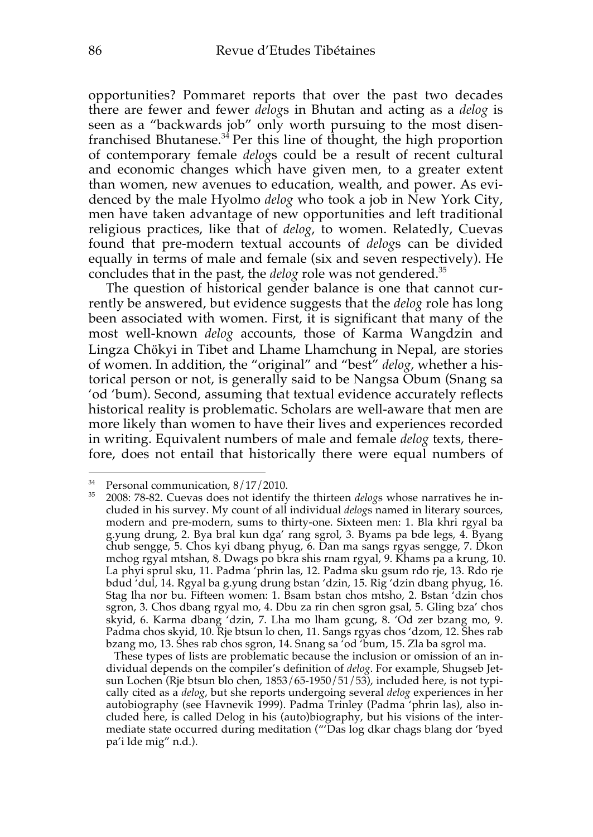opportunities? Pommaret reports that over the past two decades there are fewer and fewer *delog*s in Bhutan and acting as a *delog* is seen as a "backwards job" only worth pursuing to the most disenfranchised Bhutanese.<sup>34</sup> Per this line of thought, the high proportion of contemporary female *delog*s could be a result of recent cultural and economic changes which have given men, to a greater extent than women, new avenues to education, wealth, and power. As evidenced by the male Hyolmo *delog* who took a job in New York City, men have taken advantage of new opportunities and left traditional religious practices, like that of *delog*, to women. Relatedly, Cuevas found that pre-modern textual accounts of *delog*s can be divided equally in terms of male and female (six and seven respectively). He concludes that in the past, the *delog* role was not gendered.35

The question of historical gender balance is one that cannot currently be answered, but evidence suggests that the *delog* role has long been associated with women. First, it is significant that many of the most well-known *delog* accounts, those of Karma Wangdzin and Lingza Chӧkyi in Tibet and Lhame Lhamchung in Nepal, are stories of women. In addition, the "original" and "best" *delog*, whether a historical person or not, is generally said to be Nangsa Obum (Snang sa 'od 'bum). Second, assuming that textual evidence accurately reflects historical reality is problematic. Scholars are well-aware that men are more likely than women to have their lives and experiences recorded in writing. Equivalent numbers of male and female *delog* texts, therefore, does not entail that historically there were equal numbers of

<sup>&</sup>lt;sup>34</sup> Personal communication,  $8/17/2010$ .<br><sup>35</sup> 2008: 78.82 Guerres does not identify

<sup>35</sup> 2008: 78-82. Cuevas does not identify the thirteen *delog*s whose narratives he included in his survey. My count of all individual *delog*s named in literary sources, modern and pre-modern, sums to thirty-one. Sixteen men: 1. Bla khri rgyal ba g.yung drung, 2. Bya bral kun dga' rang sgrol, 3. Byams pa bde legs, 4. Byang chub sengge, 5. Chos kyi dbang phyug, 6. Dan ma sangs rgyas sengge, 7. Dkon mchog rgyal mtshan, 8. Dwags po bkra shis rnam rgyal, 9. Khams pa a krung, 10. La phyi sprul sku, 11. Padma 'phrin las, 12. Padma sku gsum rdo rje, 13. Rdo rje bdud 'dul, 14. Rgyal ba g.yung drung bstan 'dzin, 15. Rig 'dzin dbang phyug, 16. Stag lha nor bu. Fifteen women: 1. Bsam bstan chos mtsho, 2. Bstan 'dzin chos sgron, 3. Chos dbang rgyal mo, 4. Dbu za rin chen sgron gsal, 5. Gling bza' chos skyid, 6. Karma dbang 'dzin, 7. Lha mo lham gcung, 8. 'Od zer bzang mo, 9. Padma chos skyid, 10. Rje btsun lo chen, 11. Sangs rgyas chos 'dzom, 12. Shes rab bzang mo, 13. Shes rab chos sgron, 14. Snang sa 'od 'bum, 15. Zla ba sgrol ma.

These types of lists are problematic because the inclusion or omission of an individual depends on the compiler's definition of *delog*. For example, Shugseb Jetsun Lochen (Rje btsun blo chen, 1853/65-1950/51/53), included here, is not typically cited as a *delog*, but she reports undergoing several *delog* experiences in her autobiography (see Havnevik 1999). Padma Trinley (Padma 'phrin las), also included here, is called Delog in his (auto)biography, but his visions of the intermediate state occurred during meditation ("'Das log dkar chags blang dor 'byed pa'i lde mig" n.d.).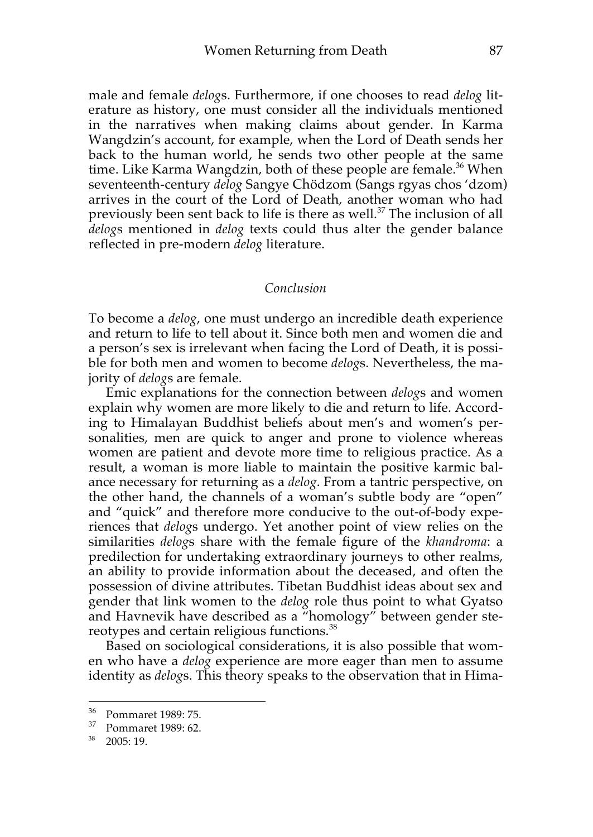male and female *delog*s. Furthermore, if one chooses to read *delog* literature as history, one must consider all the individuals mentioned in the narratives when making claims about gender. In Karma Wangdzin's account, for example, when the Lord of Death sends her back to the human world, he sends two other people at the same time. Like Karma Wangdzin, both of these people are female.<sup>36</sup> When seventeenth-century *delog* Sangye Chödzom (Sangs rgyas chos 'dzom) arrives in the court of the Lord of Death, another woman who had previously been sent back to life is there as well.<sup>37</sup> The inclusion of all *delog*s mentioned in *delog* texts could thus alter the gender balance reflected in pre-modern *delog* literature.

#### *Conclusion*

To become a *delog*, one must undergo an incredible death experience and return to life to tell about it. Since both men and women die and a person's sex is irrelevant when facing the Lord of Death, it is possible for both men and women to become *delog*s. Nevertheless, the majority of *delog*s are female.

Emic explanations for the connection between *delog*s and women explain why women are more likely to die and return to life. According to Himalayan Buddhist beliefs about men's and women's personalities, men are quick to anger and prone to violence whereas women are patient and devote more time to religious practice. As a result, a woman is more liable to maintain the positive karmic balance necessary for returning as a *delog*. From a tantric perspective, on the other hand, the channels of a woman's subtle body are "open" and "quick" and therefore more conducive to the out-of-body experiences that *delog*s undergo. Yet another point of view relies on the similarities *delog*s share with the female figure of the *khandroma*: a predilection for undertaking extraordinary journeys to other realms, an ability to provide information about the deceased, and often the possession of divine attributes. Tibetan Buddhist ideas about sex and gender that link women to the *delog* role thus point to what Gyatso and Havnevik have described as a "homology" between gender stereotypes and certain religious functions.<sup>38</sup>

Based on sociological considerations, it is also possible that women who have a *delog* experience are more eager than men to assume identity as *delog*s. This theory speaks to the observation that in Hima-

<sup>36</sup> Pommaret 1989: 75.

<sup>37</sup> Pommaret 1989: 62.

<sup>38</sup> 2005: 19.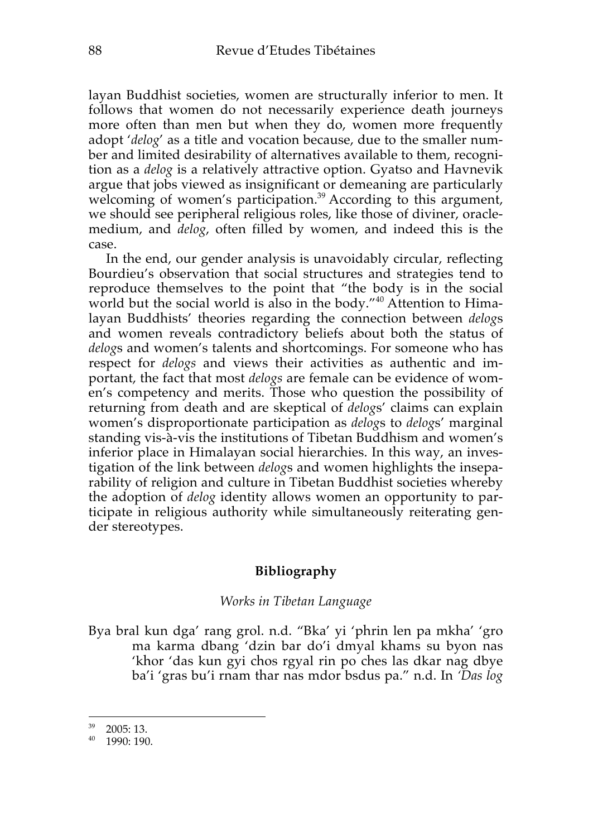layan Buddhist societies, women are structurally inferior to men. It follows that women do not necessarily experience death journeys more often than men but when they do, women more frequently adopt '*delog*' as a title and vocation because, due to the smaller number and limited desirability of alternatives available to them, recognition as a *delog* is a relatively attractive option. Gyatso and Havnevik argue that jobs viewed as insignificant or demeaning are particularly welcoming of women's participation.<sup>39</sup> According to this argument, we should see peripheral religious roles, like those of diviner, oraclemedium, and *delog*, often filled by women, and indeed this is the case.

In the end, our gender analysis is unavoidably circular, reflecting Bourdieu's observation that social structures and strategies tend to reproduce themselves to the point that "the body is in the social world but the social world is also in the body."<sup>40</sup> Attention to Himalayan Buddhists' theories regarding the connection between *delog*s and women reveals contradictory beliefs about both the status of *delog*s and women's talents and shortcomings. For someone who has respect for *delogs* and views their activities as authentic and important, the fact that most *delogs* are female can be evidence of women's competency and merits. Those who question the possibility of returning from death and are skeptical of *delog*s' claims can explain women's disproportionate participation as *delog*s to *delog*s' marginal standing vis-à-vis the institutions of Tibetan Buddhism and women's inferior place in Himalayan social hierarchies. In this way, an investigation of the link between *delog*s and women highlights the inseparability of religion and culture in Tibetan Buddhist societies whereby the adoption of *delog* identity allows women an opportunity to participate in religious authority while simultaneously reiterating gender stereotypes.

#### **Bibliography**

#### *Works in Tibetan Language*

Bya bral kun dga' rang grol. n.d. "Bka' yi 'phrin len pa mkha' 'gro ma karma dbang 'dzin bar do'i dmyal khams su byon nas 'khor 'das kun gyi chos rgyal rin po ches las dkar nag dbye ba'i 'gras bu'i rnam thar nas mdor bsdus pa." n.d. In *'Das log* 

<sup>39</sup> 2005: 13.

<sup>40</sup> 1990: 190.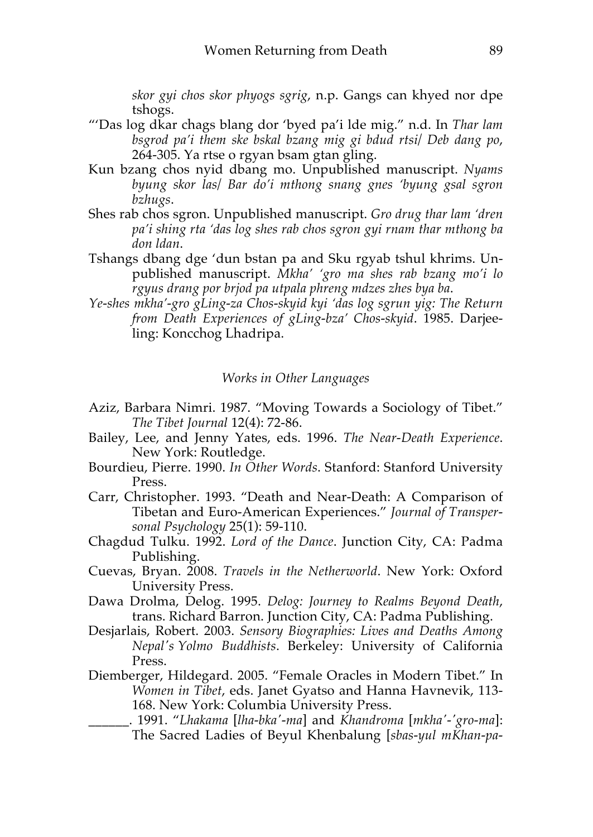*skor gyi chos skor phyogs sgrig*, n.p. Gangs can khyed nor dpe tshogs.

- "'Das log dkar chags blang dor 'byed pa'i lde mig." n.d. In *Thar lam bsgrod pa'i them ske bskal bzang mig gi bdud rtsi/ Deb dang po*, 264-305. Ya rtse o rgyan bsam gtan gling.
- Kun bzang chos nyid dbang mo. Unpublished manuscript. *Nyams byung skor las/ Bar do'i mthong snang gnes 'byung gsal sgron bzhugs*.
- Shes rab chos sgron. Unpublished manuscript. *Gro drug thar lam 'dren pa'i shing rta 'das log shes rab chos sgron gyi rnam thar mthong ba don ldan*.
- Tshangs dbang dge 'dun bstan pa and Sku rgyab tshul khrims. Unpublished manuscript. *Mkha' 'gro ma shes rab bzang mo'i lo rgyus drang por brjod pa utpala phreng mdzes zhes bya ba*.
- *Ye-shes mkha'-gro gLing-za Chos-skyid kyi 'das log sgrun yig: The Return from Death Experiences of gLing-bza' Chos-skyid*. 1985. Darjeeling: Koncchog Lhadripa.

#### *Works in Other Languages*

- Aziz, Barbara Nimri. 1987. "Moving Towards a Sociology of Tibet." *The Tibet Journal* 12(4): 72-86.
- Bailey, Lee, and Jenny Yates, eds. 1996. *The Near-Death Experience*. New York: Routledge.
- Bourdieu, Pierre. 1990. *In Other Words*. Stanford: Stanford University Press.
- Carr, Christopher. 1993. "Death and Near-Death: A Comparison of Tibetan and Euro-American Experiences." *Journal of Transpersonal Psychology* 25(1): 59-110.
- Chagdud Tulku. 1992. *Lord of the Dance*. Junction City, CA: Padma Publishing.
- Cuevas, Bryan. 2008. *Travels in the Netherworld*. New York: Oxford University Press.
- Dawa Drolma, Delog. 1995. *Delog: Journey to Realms Beyond Death*, trans. Richard Barron. Junction City, CA: Padma Publishing.
- Desjarlais, Robert. 2003. *Sensory Biographies: Lives and Deaths Among Nepal's Yolmo Buddhists*. Berkeley: University of California Press.
- Diemberger, Hildegard. 2005. "Female Oracles in Modern Tibet." In *Women in Tibet*, eds. Janet Gyatso and Hanna Havnevik, 113- 168. New York: Columbia University Press.
	- \_\_\_\_\_\_. 1991. "*Lhakama* [*lha-bka'-ma*] and *Khandroma* [*mkha'-'gro-ma*]: The Sacred Ladies of Beyul Khenbalung [*sbas-yul mKhan-pa-*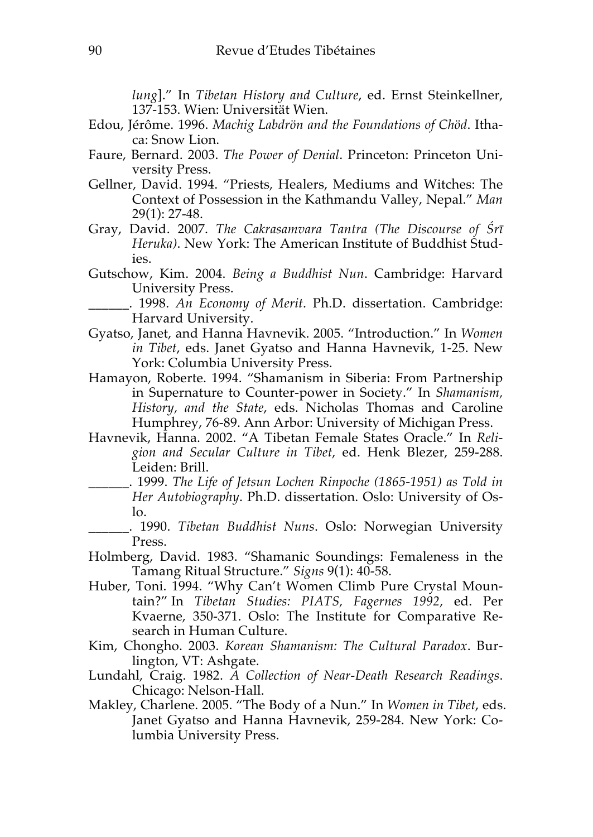*lung*]." In *Tibetan History and Culture*, ed. Ernst Steinkellner, 137-153. Wien: Universität Wien.

- Edou, Jérôme. 1996. *Machig Labdrön and the Foundations of Chöd*. Ithaca: Snow Lion.
- Faure, Bernard. 2003. *The Power of Denial*. Princeton: Princeton University Press.
- Gellner, David. 1994. "Priests, Healers, Mediums and Witches: The Context of Possession in the Kathmandu Valley, Nepal." *Man* 29(1): 27-48.
- Gray, David. 2007. *The Cakrasamvara Tantra (The Discourse of Śrī Heruka)*. New York: The American Institute of Buddhist Studies.
- Gutschow, Kim. 2004. *Being a Buddhist Nun*. Cambridge: Harvard University Press.

\_\_\_\_\_\_. 1998. *An Economy of Merit*. Ph.D. dissertation. Cambridge: Harvard University.

- Gyatso, Janet, and Hanna Havnevik. 2005. "Introduction." In *Women in Tibet*, eds. Janet Gyatso and Hanna Havnevik, 1-25. New York: Columbia University Press.
- Hamayon, Roberte. 1994. "Shamanism in Siberia: From Partnership in Supernature to Counter-power in Society." In *Shamanism, History, and the State*, eds. Nicholas Thomas and Caroline Humphrey, 76-89. Ann Arbor: University of Michigan Press.
- Havnevik, Hanna. 2002. "A Tibetan Female States Oracle." In *Religion and Secular Culture in Tibet*, ed. Henk Blezer, 259-288. Leiden: Brill.
	- \_\_\_\_\_\_. 1999. *The Life of Jetsun Lochen Rinpoche (1865-1951) as Told in Her Autobiography*. Ph.D. dissertation. Oslo: University of Oslo.
	- \_\_\_\_\_\_. 1990. *Tibetan Buddhist Nuns*. Oslo: Norwegian University Press.
- Holmberg, David. 1983. "Shamanic Soundings: Femaleness in the Tamang Ritual Structure." *Signs* 9(1): 40-58.
- Huber, Toni. 1994. "Why Can't Women Climb Pure Crystal Mountain?" In *Tibetan Studies: PIATS, Fagernes 1992*, ed. Per Kvaerne, 350-371. Oslo: The Institute for Comparative Research in Human Culture.
- Kim, Chongho. 2003. *Korean Shamanism: The Cultural Paradox*. Burlington, VT: Ashgate.
- Lundahl, Craig. 1982. *A Collection of Near-Death Research Readings*. Chicago: Nelson-Hall.
- Makley, Charlene. 2005. "The Body of a Nun." In *Women in Tibet*, eds. Janet Gyatso and Hanna Havnevik, 259-284. New York: Columbia University Press.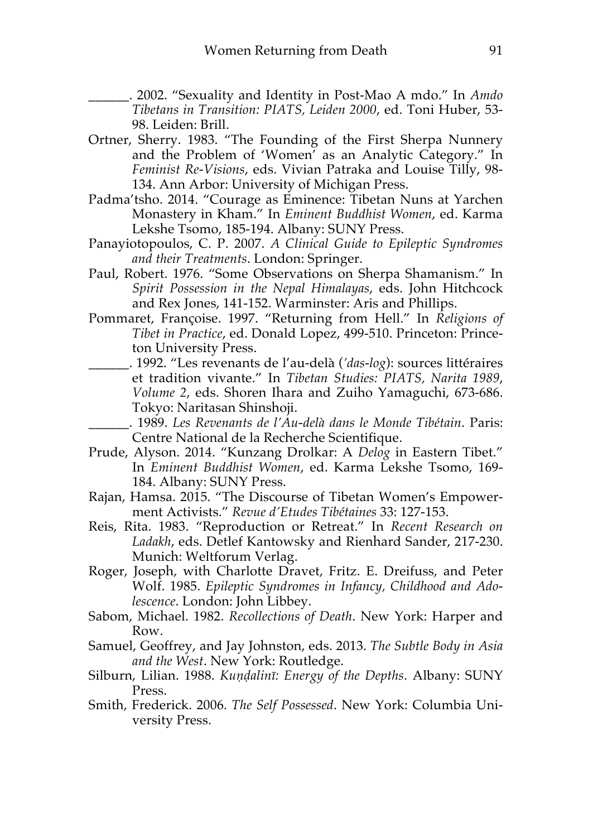- \_\_\_\_\_\_. 2002. "Sexuality and Identity in Post-Mao A mdo." In *Amdo Tibetans in Transition: PIATS, Leiden 2000*, ed. Toni Huber, 53- 98. Leiden: Brill.
- Ortner, Sherry. 1983. "The Founding of the First Sherpa Nunnery and the Problem of 'Women' as an Analytic Category." In *Feminist Re-Visions*, eds. Vivian Patraka and Louise Tilly, 98- 134. Ann Arbor: University of Michigan Press.
- Padma'tsho. 2014. "Courage as Eminence: Tibetan Nuns at Yarchen Monastery in Kham." In *Eminent Buddhist Women*, ed. Karma Lekshe Tsomo, 185-194. Albany: SUNY Press.
- Panayiotopoulos, C. P. 2007. *A Clinical Guide to Epileptic Syndromes and their Treatments*. London: Springer.
- Paul, Robert. 1976. "Some Observations on Sherpa Shamanism." In *Spirit Possession in the Nepal Himalayas*, eds. John Hitchcock and Rex Jones, 141-152. Warminster: Aris and Phillips.
- Pommaret, Françoise. 1997. "Returning from Hell." In *Religions of Tibet in Practice*, ed. Donald Lopez, 499-510. Princeton: Princeton University Press.
- \_\_\_\_\_\_. 1992. "Les revenants de l'au-delà (*'das-log*): sources littéraires et tradition vivante." In *Tibetan Studies: PIATS, Narita 1989*, *Volume 2*, eds. Shoren Ihara and Zuiho Yamaguchi, 673-686. Tokyo: Naritasan Shinshoji.
- \_\_\_\_\_\_. 1989. *Les Revenants de l'Au-delà dans le Monde Tibétain*. Paris: Centre National de la Recherche Scientifique.
- Prude, Alyson. 2014. "Kunzang Drolkar: A *Delog* in Eastern Tibet." In *Eminent Buddhist Women*, ed. Karma Lekshe Tsomo, 169- 184. Albany: SUNY Press.
- Rajan, Hamsa. 2015. "The Discourse of Tibetan Women's Empowerment Activists." *Revue d'Etudes Tibétaines* 33: 127-153.
- Reis, Rita. 1983. "Reproduction or Retreat." In *Recent Research on Ladakh*, eds. Detlef Kantowsky and Rienhard Sander, 217-230. Munich: Weltforum Verlag.
- Roger, Joseph, with Charlotte Dravet, Fritz. E. Dreifuss, and Peter Wolf. 1985. *Epileptic Syndromes in Infancy, Childhood and Adolescence*. London: John Libbey.
- Sabom, Michael. 1982. *Recollections of Death*. New York: Harper and Row.
- Samuel, Geoffrey, and Jay Johnston, eds. 2013. *The Subtle Body in Asia and the West*. New York: Routledge.
- Silburn, Lilian. 1988. *Kuṇḍalinī: Energy of the Depths*. Albany: SUNY Press.
- Smith, Frederick. 2006. *The Self Possessed*. New York: Columbia University Press.